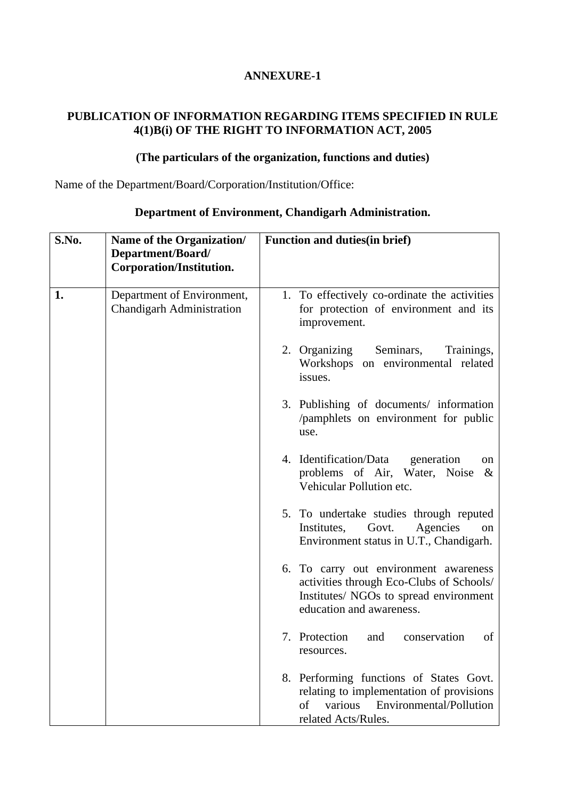### **PUBLICATION OF INFORMATION REGARDING ITEMS SPECIFIED IN RULE 4(1)B(i) OF THE RIGHT TO INFORMATION ACT, 2005**

### **(The particulars of the organization, functions and duties)**

Name of the Department/Board/Corporation/Institution/Office:

| S.No. | Name of the Organization/<br>Department/Board/<br>Corporation/Institution. | <b>Function and duties (in brief)</b>                                                                                                                   |
|-------|----------------------------------------------------------------------------|---------------------------------------------------------------------------------------------------------------------------------------------------------|
| 1.    | Department of Environment,<br><b>Chandigarh Administration</b>             | 1. To effectively co-ordinate the activities<br>for protection of environment and its<br>improvement.                                                   |
|       |                                                                            | 2. Organizing<br>Seminars,<br>Trainings,<br>Workshops on environmental related<br>issues.                                                               |
|       |                                                                            | 3. Publishing of documents/ information<br>/pamphlets on environment for public<br>use.                                                                 |
|       |                                                                            | 4. Identification/Data<br>generation<br>on<br>problems of Air, Water, Noise<br>$\&$<br>Vehicular Pollution etc.                                         |
|       |                                                                            | 5. To undertake studies through reputed<br>Institutes,<br>Govt.<br>Agencies<br>on<br>Environment status in U.T., Chandigarh.                            |
|       |                                                                            | 6. To carry out environment awareness<br>activities through Eco-Clubs of Schools/<br>Institutes/ NGOs to spread environment<br>education and awareness. |
|       |                                                                            | 7. Protection<br>conservation<br>of<br>and<br>resources.                                                                                                |
|       |                                                                            | 8. Performing functions of States Govt.<br>relating to implementation of provisions<br>of<br>various<br>Environmental/Pollution<br>related Acts/Rules.  |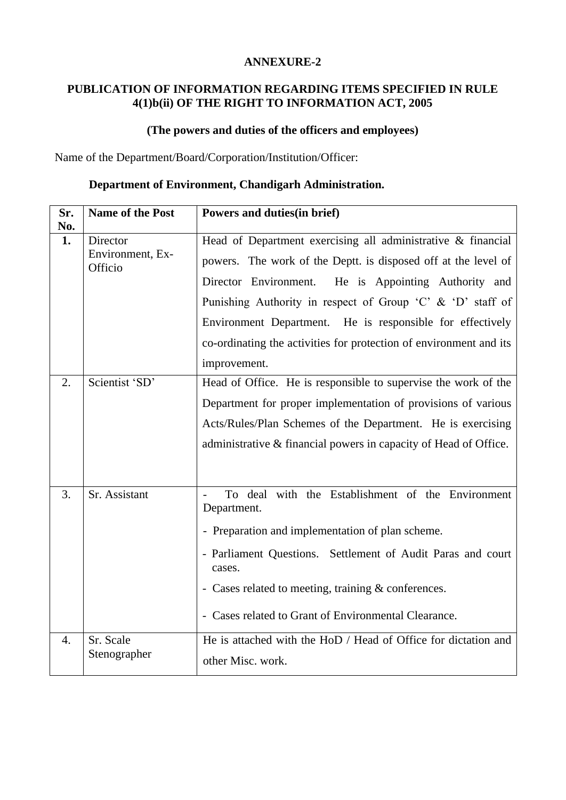### **PUBLICATION OF INFORMATION REGARDING ITEMS SPECIFIED IN RULE 4(1)b(ii) OF THE RIGHT TO INFORMATION ACT, 2005**

### **(The powers and duties of the officers and employees)**

Name of the Department/Board/Corporation/Institution/Officer:

| Sr.<br>No. | <b>Name of the Post</b>                 | Powers and duties (in brief)                                                                                                                                                                                                                                                                                                                                                                               |  |  |
|------------|-----------------------------------------|------------------------------------------------------------------------------------------------------------------------------------------------------------------------------------------------------------------------------------------------------------------------------------------------------------------------------------------------------------------------------------------------------------|--|--|
| 1.         | Director<br>Environment, Ex-<br>Officio | Head of Department exercising all administrative & financial<br>powers. The work of the Deptt. is disposed off at the level of<br>Director Environment.<br>He is Appointing Authority and<br>Punishing Authority in respect of Group 'C' & 'D' staff of<br>Environment Department. He is responsible for effectively<br>co-ordinating the activities for protection of environment and its<br>improvement. |  |  |
| 2.         | Scientist 'SD'                          | Head of Office. He is responsible to supervise the work of the<br>Department for proper implementation of provisions of various<br>Acts/Rules/Plan Schemes of the Department. He is exercising<br>administrative & financial powers in capacity of Head of Office.                                                                                                                                         |  |  |
| 3.<br>4.   | Sr. Assistant<br>Sr. Scale              | with the Establishment of the Environment<br>To deal<br>Department.<br>- Preparation and implementation of plan scheme.<br>- Parliament Questions. Settlement of Audit Paras and court<br>cases.<br>- Cases related to meeting, training & conferences.<br>- Cases related to Grant of Environmental Clearance.<br>He is attached with the HoD / Head of Office for dictation and                          |  |  |
|            | Stenographer                            | other Misc. work.                                                                                                                                                                                                                                                                                                                                                                                          |  |  |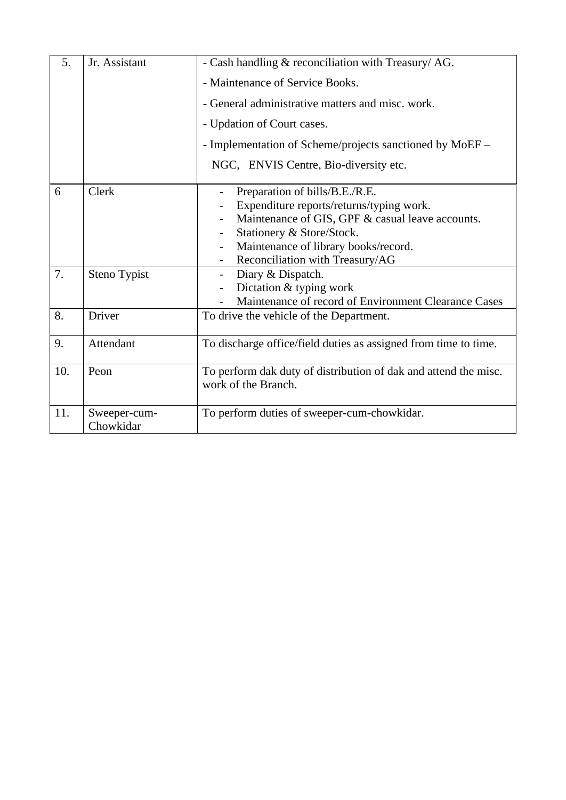| 5.  | Jr. Assistant             | - Cash handling & reconciliation with Treasury/AG.                                     |  |  |  |
|-----|---------------------------|----------------------------------------------------------------------------------------|--|--|--|
|     |                           | - Maintenance of Service Books.                                                        |  |  |  |
|     |                           | - General administrative matters and misc. work.                                       |  |  |  |
|     |                           | - Updation of Court cases.                                                             |  |  |  |
|     |                           | - Implementation of Scheme/projects sanctioned by MoEF –                               |  |  |  |
|     |                           | NGC, ENVIS Centre, Bio-diversity etc.                                                  |  |  |  |
| 6   | Clerk                     | Preparation of bills/B.E./R.E.                                                         |  |  |  |
|     |                           | Expenditure reports/returns/typing work.                                               |  |  |  |
|     |                           | Maintenance of GIS, GPF & casual leave accounts.                                       |  |  |  |
|     |                           | Stationery & Store/Stock.                                                              |  |  |  |
|     |                           | Maintenance of library books/record.                                                   |  |  |  |
|     |                           | Reconciliation with Treasury/AG                                                        |  |  |  |
| 7.  | Steno Typist              | Diary & Dispatch.<br>$\overline{\phantom{a}}$                                          |  |  |  |
|     |                           | Dictation & typing work                                                                |  |  |  |
|     |                           | Maintenance of record of Environment Clearance Cases                                   |  |  |  |
| 8.  | Driver                    | To drive the vehicle of the Department.                                                |  |  |  |
| 9.  | Attendant                 | To discharge office/field duties as assigned from time to time.                        |  |  |  |
| 10. | Peon                      | To perform dak duty of distribution of dak and attend the misc.<br>work of the Branch. |  |  |  |
| 11. | Sweeper-cum-<br>Chowkidar | To perform duties of sweeper-cum-chowkidar.                                            |  |  |  |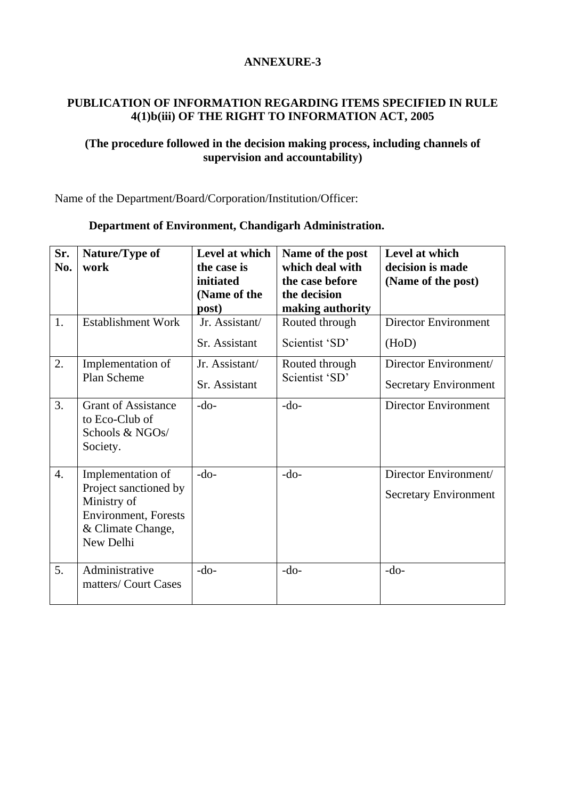### **PUBLICATION OF INFORMATION REGARDING ITEMS SPECIFIED IN RULE 4(1)b(iii) OF THE RIGHT TO INFORMATION ACT, 2005**

### **(The procedure followed in the decision making process, including channels of supervision and accountability)**

Name of the Department/Board/Corporation/Institution/Officer:

| Sr.<br>No. | Nature/Type of<br>work                                                                                                      | Level at which<br>the case is<br>initiated<br>(Name of the | Name of the post<br>which deal with<br>the case before<br>the decision | Level at which<br>decision is made<br>(Name of the post) |
|------------|-----------------------------------------------------------------------------------------------------------------------------|------------------------------------------------------------|------------------------------------------------------------------------|----------------------------------------------------------|
|            |                                                                                                                             | post)                                                      | making authority                                                       |                                                          |
| 1.         | <b>Establishment Work</b>                                                                                                   | Jr. Assistant/                                             | Routed through                                                         | <b>Director Environment</b>                              |
|            |                                                                                                                             | Sr. Assistant                                              | Scientist 'SD'                                                         | (HoD)                                                    |
| 2.         | Implementation of                                                                                                           | Jr. Assistant/                                             | Routed through                                                         | Director Environment/                                    |
|            | Plan Scheme                                                                                                                 | Sr. Assistant                                              | Scientist 'SD'                                                         | <b>Secretary Environment</b>                             |
| 3.         | <b>Grant of Assistance</b><br>to Eco-Club of<br>Schools & NGOs/<br>Society.                                                 | $-do-$                                                     | $-do-$                                                                 | <b>Director Environment</b>                              |
| 4.         | Implementation of<br>Project sanctioned by<br>Ministry of<br><b>Environment</b> , Forests<br>& Climate Change,<br>New Delhi | $-do-$                                                     | $-do-$                                                                 | Director Environment/<br><b>Secretary Environment</b>    |
| 5.         | Administrative<br>matters/Court Cases                                                                                       | $-do-$                                                     | $-do-$                                                                 | $-do-$                                                   |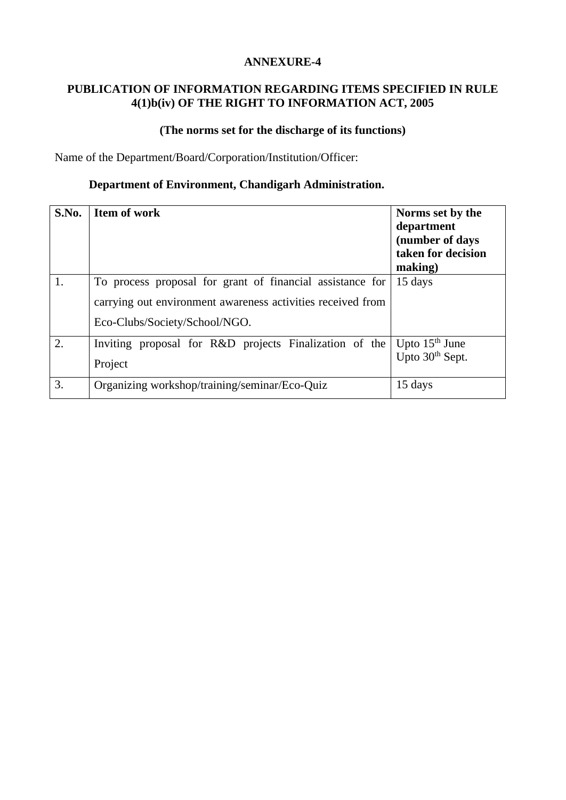### **PUBLICATION OF INFORMATION REGARDING ITEMS SPECIFIED IN RULE 4(1)b(iv) OF THE RIGHT TO INFORMATION ACT, 2005**

### **(The norms set for the discharge of its functions)**

Name of the Department/Board/Corporation/Institution/Officer:

| S.No. | <b>Item of work</b>                                                                                                                                       | Norms set by the<br>department<br>(number of days<br>taken for decision<br>making) |
|-------|-----------------------------------------------------------------------------------------------------------------------------------------------------------|------------------------------------------------------------------------------------|
| 1.    | To process proposal for grant of financial assistance for<br>carrying out environment awareness activities received from<br>Eco-Clubs/Society/School/NGO. | 15 days                                                                            |
| 2.    | Inviting proposal for R&D projects Finalization of the<br>Project                                                                                         | Upto $15th$ June<br>Upto 30 <sup>th</sup> Sept.                                    |
| 3.    | Organizing workshop/training/seminar/Eco-Quiz                                                                                                             | 15 days                                                                            |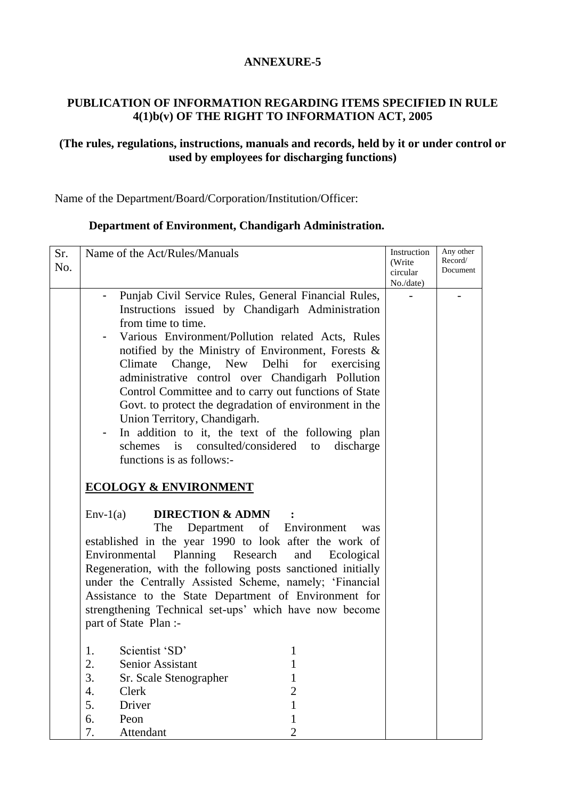### **PUBLICATION OF INFORMATION REGARDING ITEMS SPECIFIED IN RULE 4(1)b(v) OF THE RIGHT TO INFORMATION ACT, 2005**

### **(The rules, regulations, instructions, manuals and records, held by it or under control or used by employees for discharging functions)**

Name of the Department/Board/Corporation/Institution/Officer:

| Sr.<br>No. | Name of the Act/Rules/Manuals                                                                                                                                                                                                                                                                                                                                                                                                                                                                                                                                                                                                                                               | Instruction<br>(Write<br>circular<br>No./date) | Any other<br>Record/<br>Document |
|------------|-----------------------------------------------------------------------------------------------------------------------------------------------------------------------------------------------------------------------------------------------------------------------------------------------------------------------------------------------------------------------------------------------------------------------------------------------------------------------------------------------------------------------------------------------------------------------------------------------------------------------------------------------------------------------------|------------------------------------------------|----------------------------------|
|            | Punjab Civil Service Rules, General Financial Rules,<br>Instructions issued by Chandigarh Administration<br>from time to time.<br>Various Environment/Pollution related Acts, Rules<br>notified by the Ministry of Environment, Forests &<br>Climate Change, New Delhi<br>for exercising<br>administrative control over Chandigarh Pollution<br>Control Committee and to carry out functions of State<br>Govt. to protect the degradation of environment in the<br>Union Territory, Chandigarh.<br>In addition to it, the text of the following plan<br>schemes is consulted/considered<br>discharge<br>to<br>functions is as follows:-<br><b>ECOLOGY &amp; ENVIRONMENT</b> |                                                |                                  |
|            | <b>DIRECTION &amp; ADMN</b><br>$Env-1(a)$<br>The<br>Department<br>of Environment<br>was<br>established in the year 1990 to look after the work of<br>Planning Research<br>Environmental<br>and Ecological<br>Regeneration, with the following posts sanctioned initially<br>under the Centrally Assisted Scheme, namely; 'Financial<br>Assistance to the State Department of Environment for<br>strengthening Technical set-ups' which have now become<br>part of State Plan :-<br>Scientist 'SD'<br>1.                                                                                                                                                                     |                                                |                                  |
|            | 2.<br><b>Senior Assistant</b><br>3.<br>Sr. Scale Stenographer<br>1<br>$\overline{2}$<br>4.<br>Clerk<br>5.<br>Driver<br>6.<br>Peon<br>Attendant<br>7.<br>2                                                                                                                                                                                                                                                                                                                                                                                                                                                                                                                   |                                                |                                  |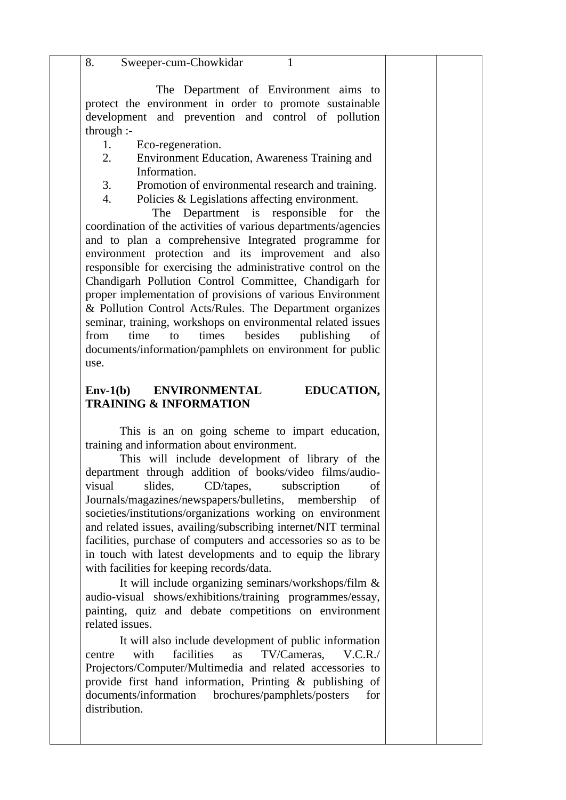8. Sweeper-cum-Chowkidar 1

 The Department of Environment aims to protect the environment in order to promote sustainable development and prevention and control of pollution through :-

- 1. Eco-regeneration.
- 2. Environment Education, Awareness Training and Information.
- 3. Promotion of environmental research and training.
- 4. Policies & Legislations affecting environment.

 The Department is responsible for the coordination of the activities of various departments/agencies and to plan a comprehensive Integrated programme for environment protection and its improvement and also responsible for exercising the administrative control on the Chandigarh Pollution Control Committee, Chandigarh for proper implementation of provisions of various Environment & Pollution Control Acts/Rules. The Department organizes seminar, training, workshops on environmental related issues from time to times besides publishing documents/information/pamphlets on environment for public use.

#### **Env-1(b) ENVIRONMENTAL EDUCATION, TRAINING & INFORMATION**

This is an on going scheme to impart education, training and information about environment.

This will include development of library of the department through addition of books/video films/audiovisual slides, CD/tapes, subscription of Journals/magazines/newspapers/bulletins, membership of societies/institutions/organizations working on environment and related issues, availing/subscribing internet/NIT terminal facilities, purchase of computers and accessories so as to be in touch with latest developments and to equip the library with facilities for keeping records/data.

It will include organizing seminars/workshops/film & audio-visual shows/exhibitions/training programmes/essay, painting, quiz and debate competitions on environment related issues.

It will also include development of public information centre with facilities as TV/Cameras, V.C.R./ Projectors/Computer/Multimedia and related accessories to provide first hand information, Printing & publishing of documents/information brochures/pamphlets/posters for distribution.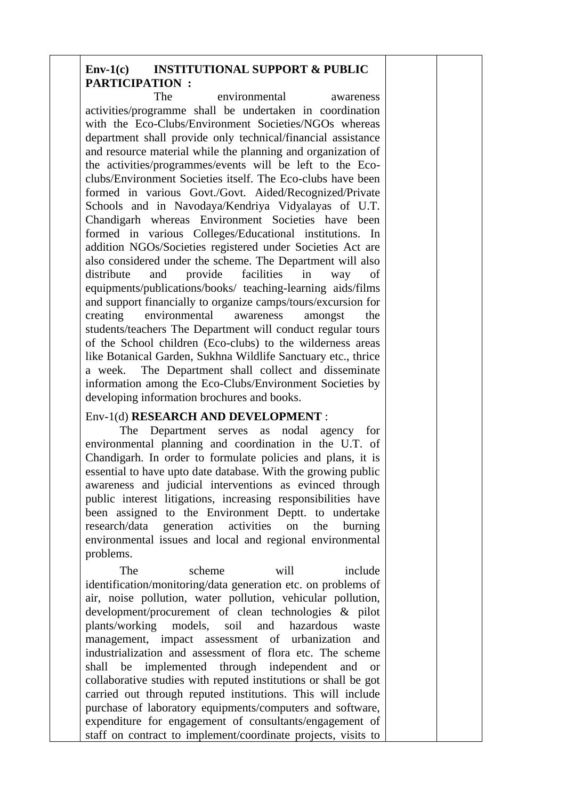### **Env-1(c) INSTITUTIONAL SUPPORT & PUBLIC PARTICIPATION :**

The environmental awareness activities/programme shall be undertaken in coordination with the Eco-Clubs/Environment Societies/NGOs whereas department shall provide only technical/financial assistance and resource material while the planning and organization of the activities/programmes/events will be left to the Ecoclubs/Environment Societies itself. The Eco-clubs have been formed in various Govt./Govt. Aided/Recognized/Private Schools and in Navodaya/Kendriya Vidyalayas of U.T. Chandigarh whereas Environment Societies have been formed in various Colleges/Educational institutions. In addition NGOs/Societies registered under Societies Act are also considered under the scheme. The Department will also distribute and provide facilities in way of equipments/publications/books/ teaching-learning aids/films and support financially to organize camps/tours/excursion for creating environmental awareness amongst the students/teachers The Department will conduct regular tours of the School children (Eco-clubs) to the wilderness areas like Botanical Garden, Sukhna Wildlife Sanctuary etc., thrice a week. The Department shall collect and disseminate information among the Eco-Clubs/Environment Societies by developing information brochures and books.

#### Env-1(d) **RESEARCH AND DEVELOPMENT** :

The Department serves as nodal agency for environmental planning and coordination in the U.T. of Chandigarh. In order to formulate policies and plans, it is essential to have upto date database. With the growing public awareness and judicial interventions as evinced through public interest litigations, increasing responsibilities have been assigned to the Environment Deptt. to undertake research/data generation activities on the burning environmental issues and local and regional environmental problems.

The scheme will include identification/monitoring/data generation etc. on problems of air, noise pollution, water pollution, vehicular pollution, development/procurement of clean technologies & pilot plants/working models, soil and hazardous waste management, impact assessment of urbanization and industrialization and assessment of flora etc. The scheme shall be implemented through independent and or collaborative studies with reputed institutions or shall be got carried out through reputed institutions. This will include purchase of laboratory equipments/computers and software, expenditure for engagement of consultants/engagement of staff on contract to implement/coordinate projects, visits to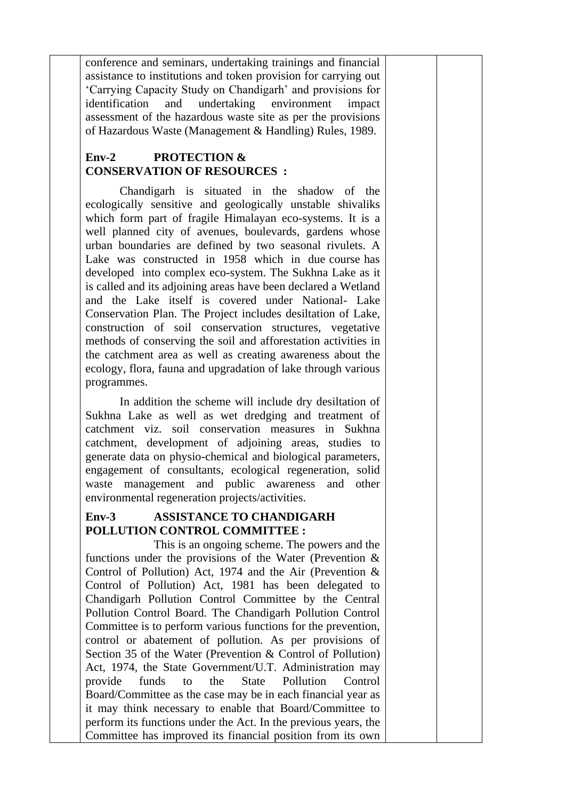conference and seminars, undertaking trainings and financial assistance to institutions and token provision for carrying out 'Carrying Capacity Study on Chandigarh' and provisions for identification and undertaking environment impact assessment of the hazardous waste site as per the provisions of Hazardous Waste (Management & Handling) Rules, 1989.

### **Env-2 PROTECTION & CONSERVATION OF RESOURCES :**

Chandigarh is situated in the shadow of the ecologically sensitive and geologically unstable shivaliks which form part of fragile Himalayan eco-systems. It is a well planned city of avenues, boulevards, gardens whose urban boundaries are defined by two seasonal rivulets. A Lake was constructed in 1958 which in due course has developed into complex eco-system. The Sukhna Lake as it is called and its adjoining areas have been declared a Wetland and the Lake itself is covered under National- Lake Conservation Plan. The Project includes desiltation of Lake, construction of soil conservation structures, vegetative methods of conserving the soil and afforestation activities in the catchment area as well as creating awareness about the ecology, flora, fauna and upgradation of lake through various programmes.

In addition the scheme will include dry desiltation of Sukhna Lake as well as wet dredging and treatment of catchment viz. soil conservation measures in Sukhna catchment, development of adjoining areas, studies to generate data on physio-chemical and biological parameters, engagement of consultants, ecological regeneration, solid waste management and public awareness and other environmental regeneration projects/activities.

## **Env-3 ASSISTANCE TO CHANDIGARH POLLUTION CONTROL COMMITTEE :**

This is an ongoing scheme. The powers and the functions under the provisions of the Water (Prevention & Control of Pollution) Act, 1974 and the Air (Prevention & Control of Pollution) Act, 1981 has been delegated to Chandigarh Pollution Control Committee by the Central Pollution Control Board. The Chandigarh Pollution Control Committee is to perform various functions for the prevention, control or abatement of pollution. As per provisions of Section 35 of the Water (Prevention & Control of Pollution) Act, 1974, the State Government/U.T. Administration may provide funds to the State Pollution Control Board/Committee as the case may be in each financial year as it may think necessary to enable that Board/Committee to perform its functions under the Act. In the previous years, the Committee has improved its financial position from its own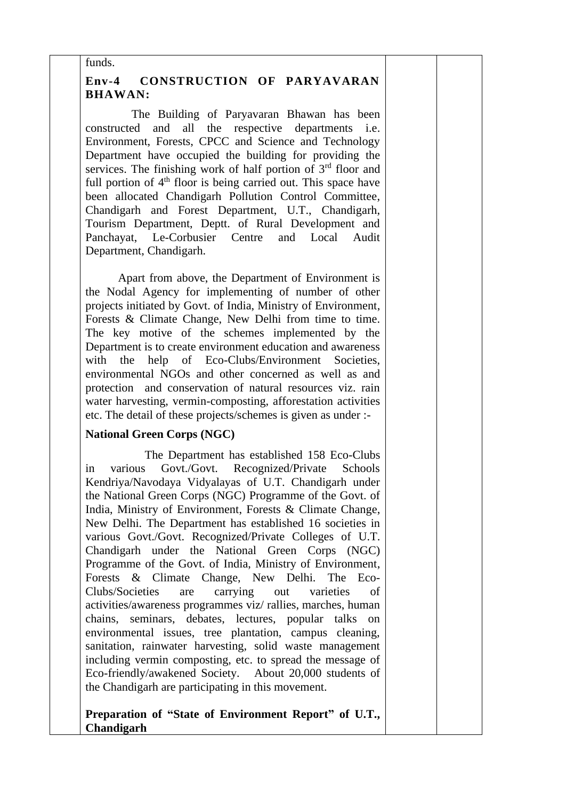#### funds.

### **Env-4 CONSTRUCTION OF PARYAVARAN BHAWAN:**

 The Building of Paryavaran Bhawan has been constructed and all the respective departments i.e. Environment, Forests, CPCC and Science and Technology Department have occupied the building for providing the services. The finishing work of half portion of  $3<sup>rd</sup>$  floor and full portion of  $4<sup>th</sup>$  floor is being carried out. This space have been allocated Chandigarh Pollution Control Committee, Chandigarh and Forest Department, U.T., Chandigarh, Tourism Department, Deptt. of Rural Development and Panchayat, Le-Corbusier Centre and Local Audit Department, Chandigarh.

 Apart from above, the Department of Environment is the Nodal Agency for implementing of number of other projects initiated by Govt. of India, Ministry of Environment, Forests & Climate Change, New Delhi from time to time. The key motive of the schemes implemented by the Department is to create environment education and awareness with the help of Eco-Clubs/Environment Societies. environmental NGOs and other concerned as well as and protection and conservation of natural resources viz. rain water harvesting, vermin-composting, afforestation activities etc. The detail of these projects/schemes is given as under :-

### **National Green Corps (NGC)**

 The Department has established 158 Eco-Clubs in various Govt./Govt. Recognized/Private Schools Kendriya/Navodaya Vidyalayas of U.T. Chandigarh under the National Green Corps (NGC) Programme of the Govt. of India, Ministry of Environment, Forests & Climate Change, New Delhi. The Department has established 16 societies in various Govt./Govt. Recognized/Private Colleges of U.T. Chandigarh under the National Green Corps (NGC) Programme of the Govt. of India, Ministry of Environment, Forests & Climate Change, New Delhi. The Eco-Clubs/Societies are carrying out varieties of activities/awareness programmes viz/ rallies, marches, human chains, seminars, debates, lectures, popular talks on environmental issues, tree plantation, campus cleaning, sanitation, rainwater harvesting, solid waste management including vermin composting, etc. to spread the message of Eco-friendly/awakened Society. About 20,000 students of the Chandigarh are participating in this movement.

#### **Preparation of "State of Environment Report" of U.T., Chandigarh**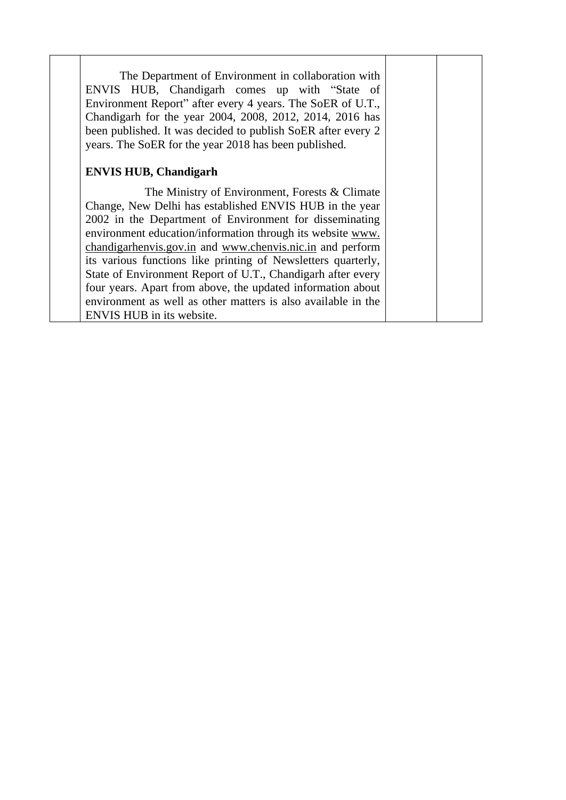| The Department of Environment in collaboration with<br>ENVIS HUB, Chandigarh comes up with "State of<br>Environment Report" after every 4 years. The SoER of U.T.,<br>Chandigarh for the year 2004, 2008, 2012, 2014, 2016 has<br>been published. It was decided to publish SoER after every 2<br>years. The SoER for the year 2018 has been published. |  |
|---------------------------------------------------------------------------------------------------------------------------------------------------------------------------------------------------------------------------------------------------------------------------------------------------------------------------------------------------------|--|
| <b>ENVIS HUB, Chandigarh</b>                                                                                                                                                                                                                                                                                                                            |  |
| The Ministry of Environment, Forests $&$ Climate                                                                                                                                                                                                                                                                                                        |  |
| Change, New Delhi has established ENVIS HUB in the year                                                                                                                                                                                                                                                                                                 |  |
| 2002 in the Department of Environment for disseminating                                                                                                                                                                                                                                                                                                 |  |
| environment education/information through its website www.                                                                                                                                                                                                                                                                                              |  |
| chandigarhenvis.gov.in and www.chenvis.nic.in and perform                                                                                                                                                                                                                                                                                               |  |
| its various functions like printing of Newsletters quarterly,                                                                                                                                                                                                                                                                                           |  |
| State of Environment Report of U.T., Chandigarh after every                                                                                                                                                                                                                                                                                             |  |
| four years. Apart from above, the updated information about                                                                                                                                                                                                                                                                                             |  |
| environment as well as other matters is also available in the                                                                                                                                                                                                                                                                                           |  |
| ENVIS HUB in its website.                                                                                                                                                                                                                                                                                                                               |  |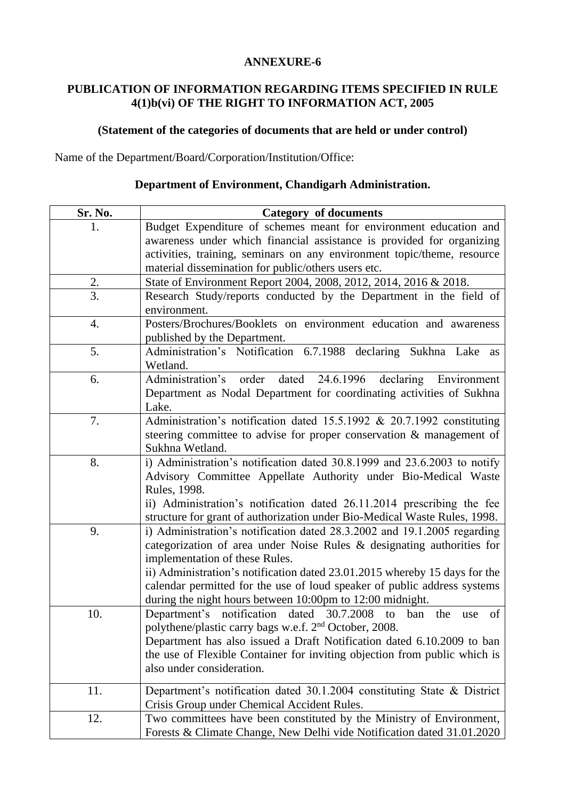### **PUBLICATION OF INFORMATION REGARDING ITEMS SPECIFIED IN RULE 4(1)b(vi) OF THE RIGHT TO INFORMATION ACT, 2005**

### **(Statement of the categories of documents that are held or under control)**

Name of the Department/Board/Corporation/Institution/Office:

| Sr. No.          | <b>Category of documents</b>                                                                                                                                                                                                                                                                                                                                                                                |  |  |
|------------------|-------------------------------------------------------------------------------------------------------------------------------------------------------------------------------------------------------------------------------------------------------------------------------------------------------------------------------------------------------------------------------------------------------------|--|--|
|                  | Budget Expenditure of schemes meant for environment education and                                                                                                                                                                                                                                                                                                                                           |  |  |
|                  | awareness under which financial assistance is provided for organizing                                                                                                                                                                                                                                                                                                                                       |  |  |
|                  | activities, training, seminars on any environment topic/theme, resource                                                                                                                                                                                                                                                                                                                                     |  |  |
|                  | material dissemination for public/others users etc.                                                                                                                                                                                                                                                                                                                                                         |  |  |
| 2.               | State of Environment Report 2004, 2008, 2012, 2014, 2016 & 2018.                                                                                                                                                                                                                                                                                                                                            |  |  |
| $\overline{3}$ . | Research Study/reports conducted by the Department in the field of<br>environment.                                                                                                                                                                                                                                                                                                                          |  |  |
| 4.               | Posters/Brochures/Booklets on environment education and awareness<br>published by the Department.                                                                                                                                                                                                                                                                                                           |  |  |
| 5.               | Administration's Notification 6.7.1988 declaring Sukhna Lake<br>as<br>Wetland.                                                                                                                                                                                                                                                                                                                              |  |  |
| 6.               | Administration's order<br>dated 24.6.1996 declaring<br>Environment<br>Department as Nodal Department for coordinating activities of Sukhna<br>Lake.                                                                                                                                                                                                                                                         |  |  |
| 7.               | Administration's notification dated 15.5.1992 & 20.7.1992 constituting<br>steering committee to advise for proper conservation & management of<br>Sukhna Wetland.                                                                                                                                                                                                                                           |  |  |
| 8.               | i) Administration's notification dated 30.8.1999 and 23.6.2003 to notify<br>Advisory Committee Appellate Authority under Bio-Medical Waste<br>Rules, 1998.<br>ii) Administration's notification dated 26.11.2014 prescribing the fee<br>structure for grant of authorization under Bio-Medical Waste Rules, 1998.                                                                                           |  |  |
| 9.               | i) Administration's notification dated 28.3.2002 and 19.1.2005 regarding<br>categorization of area under Noise Rules & designating authorities for<br>implementation of these Rules.<br>ii) Administration's notification dated 23.01.2015 whereby 15 days for the<br>calendar permitted for the use of loud speaker of public address systems<br>during the night hours between 10:00pm to 12:00 midnight. |  |  |
| 10.              | Department's notification dated 30.7.2008 to ban the<br>of<br>use<br>polythene/plastic carry bags w.e.f. 2 <sup>nd</sup> October, 2008.<br>Department has also issued a Draft Notification dated 6.10.2009 to ban<br>the use of Flexible Container for inviting objection from public which is<br>also under consideration.                                                                                 |  |  |
| 11.              | Department's notification dated 30.1.2004 constituting State & District<br>Crisis Group under Chemical Accident Rules.                                                                                                                                                                                                                                                                                      |  |  |
| 12.              | Two committees have been constituted by the Ministry of Environment,<br>Forests & Climate Change, New Delhi vide Notification dated 31.01.2020                                                                                                                                                                                                                                                              |  |  |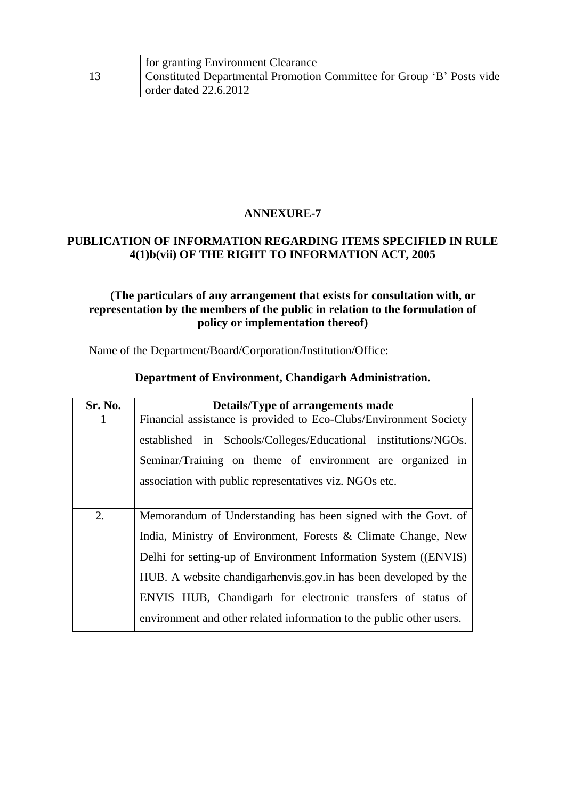| for granting Environment Clearance                                    |
|-----------------------------------------------------------------------|
| Constituted Departmental Promotion Committee for Group 'B' Posts vide |
| order dated $22.6.2012$                                               |

### **PUBLICATION OF INFORMATION REGARDING ITEMS SPECIFIED IN RULE 4(1)b(vii) OF THE RIGHT TO INFORMATION ACT, 2005**

### **(The particulars of any arrangement that exists for consultation with, or representation by the members of the public in relation to the formulation of policy or implementation thereof)**

Name of the Department/Board/Corporation/Institution/Office:

| Sr. No. | Details/Type of arrangements made                                    |  |  |  |  |
|---------|----------------------------------------------------------------------|--|--|--|--|
| 1       | Financial assistance is provided to Eco-Clubs/Environment Society    |  |  |  |  |
|         | established in Schools/Colleges/Educational institutions/NGOs.       |  |  |  |  |
|         | Seminar/Training on theme of environment are organized in            |  |  |  |  |
|         | association with public representatives viz. NGOs etc.               |  |  |  |  |
| 2.      | Memorandum of Understanding has been signed with the Govt. of        |  |  |  |  |
|         |                                                                      |  |  |  |  |
|         | India, Ministry of Environment, Forests & Climate Change, New        |  |  |  |  |
|         | Delhi for setting-up of Environment Information System ((ENVIS)      |  |  |  |  |
|         | HUB. A website chandigarhenvis.gov.in has been developed by the      |  |  |  |  |
|         | ENVIS HUB, Chandigarh for electronic transfers of status of          |  |  |  |  |
|         | environment and other related information to the public other users. |  |  |  |  |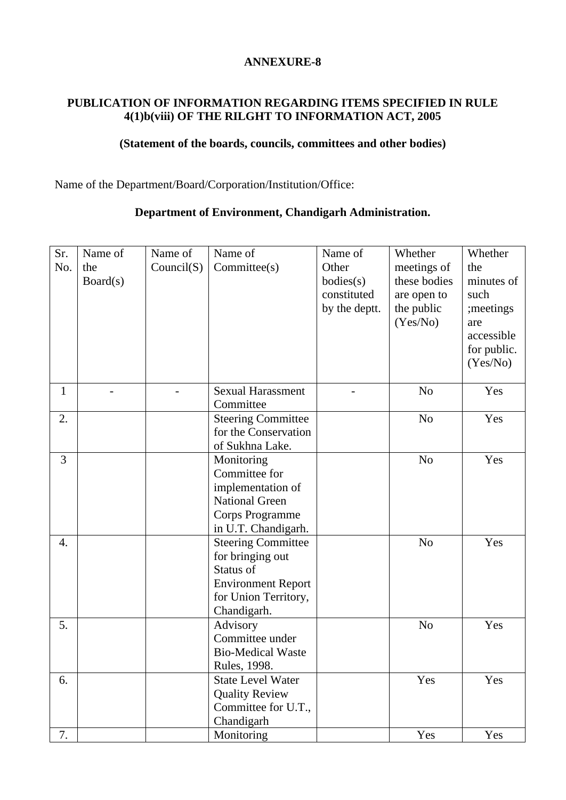### **PUBLICATION OF INFORMATION REGARDING ITEMS SPECIFIED IN RULE 4(1)b(viii) OF THE RILGHT TO INFORMATION ACT, 2005**

## **(Statement of the boards, councils, committees and other bodies)**

Name of the Department/Board/Corporation/Institution/Office:

| Sr.<br>No.   | Name of<br>the<br>Board(s) | Name of<br>Count(S) | Name of<br>Committee(s)                                                                                                        | Name of<br>Other<br>bodies(s)<br>constituted<br>by the deptt. | Whether<br>meetings of<br>these bodies<br>are open to<br>the public<br>(Yes/No) | Whether<br>the<br>minutes of<br>such<br>; meetings<br>are<br>accessible<br>for public.<br>(Yes/No) |
|--------------|----------------------------|---------------------|--------------------------------------------------------------------------------------------------------------------------------|---------------------------------------------------------------|---------------------------------------------------------------------------------|----------------------------------------------------------------------------------------------------|
|              |                            |                     |                                                                                                                                |                                                               |                                                                                 |                                                                                                    |
| $\mathbf{1}$ |                            |                     | <b>Sexual Harassment</b><br>Committee                                                                                          |                                                               | N <sub>o</sub>                                                                  | Yes                                                                                                |
| 2.           |                            |                     | <b>Steering Committee</b><br>for the Conservation<br>of Sukhna Lake.                                                           |                                                               | N <sub>o</sub>                                                                  | Yes                                                                                                |
| 3            |                            |                     | Monitoring<br>Committee for<br>implementation of<br><b>National Green</b><br>Corps Programme<br>in U.T. Chandigarh.            |                                                               | N <sub>o</sub>                                                                  | Yes                                                                                                |
| 4.           |                            |                     | <b>Steering Committee</b><br>for bringing out<br>Status of<br><b>Environment Report</b><br>for Union Territory,<br>Chandigarh. |                                                               | N <sub>o</sub>                                                                  | Yes                                                                                                |
| 5.           |                            |                     | Advisory<br>Committee under<br><b>Bio-Medical Waste</b><br>Rules, 1998.                                                        |                                                               | N <sub>o</sub>                                                                  | Yes                                                                                                |
| 6.           |                            |                     | <b>State Level Water</b><br><b>Quality Review</b><br>Committee for U.T.,<br>Chandigarh                                         |                                                               | Yes                                                                             | Yes                                                                                                |
| 7.           |                            |                     | Monitoring                                                                                                                     |                                                               | Yes                                                                             | Yes                                                                                                |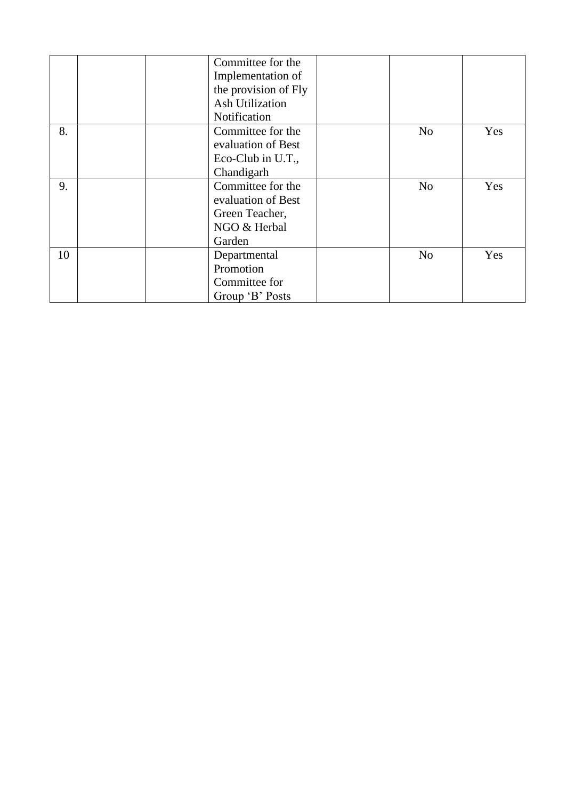|    | Committee for the   |                      |     |
|----|---------------------|----------------------|-----|
|    | Implementation of   |                      |     |
|    |                     | the provision of Fly |     |
|    | Ash Utilization     |                      |     |
|    | Notification        |                      |     |
| 8. | Committee for the   | N <sub>0</sub>       | Yes |
|    | evaluation of Best  |                      |     |
|    | Eco-Club in $U.T.,$ |                      |     |
|    | Chandigarh          |                      |     |
| 9. | Committee for the   | N <sub>o</sub>       | Yes |
|    | evaluation of Best  |                      |     |
|    | Green Teacher,      |                      |     |
|    | NGO & Herbal        |                      |     |
|    | Garden              |                      |     |
| 10 | Departmental        | N <sub>0</sub>       | Yes |
|    | Promotion           |                      |     |
|    | Committee for       |                      |     |
|    | Group 'B' Posts     |                      |     |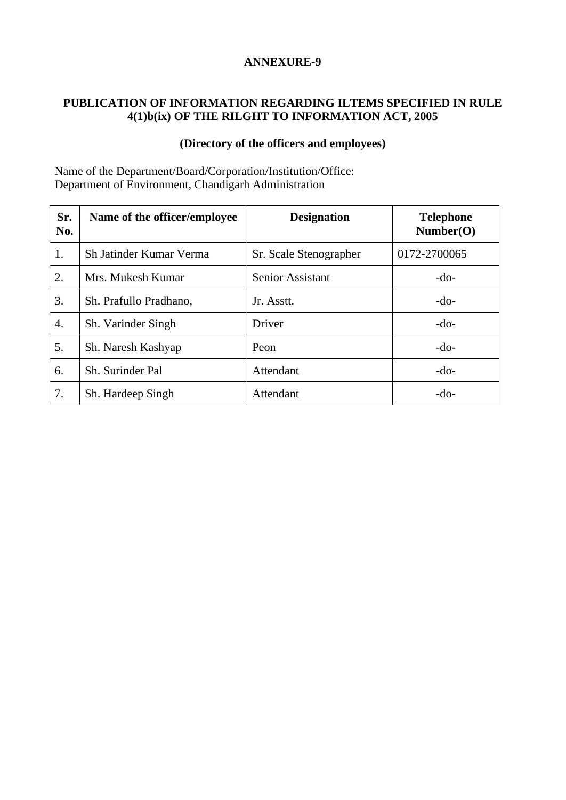### **PUBLICATION OF INFORMATION REGARDING ILTEMS SPECIFIED IN RULE 4(1)b(ix) OF THE RILGHT TO INFORMATION ACT, 2005**

### **(Directory of the officers and employees)**

Name of the Department/Board/Corporation/Institution/Office: Department of Environment, Chandigarh Administration

| Sr.<br>No.       | Name of the officer/employee          | <b>Designation</b>     | <b>Telephone</b><br>Number(O) |
|------------------|---------------------------------------|------------------------|-------------------------------|
| 1.               | Sh Jatinder Kumar Verma               | Sr. Scale Stenographer | 0172-2700065                  |
| 2.               | Senior Assistant<br>Mrs. Mukesh Kumar |                        | $-do-$                        |
| 3.               | Sh. Prafullo Pradhano,                | Jr. Asstt.             | $-do-$                        |
| $\overline{4}$ . | Sh. Varinder Singh                    | Driver                 | $-do-$                        |
| 5.               | Sh. Naresh Kashyap                    | Peon                   | $-do-$                        |
| 6.               | Sh. Surinder Pal                      | Attendant              | $-do-$                        |
| 7.               | Sh. Hardeep Singh                     | Attendant              | $-do-$                        |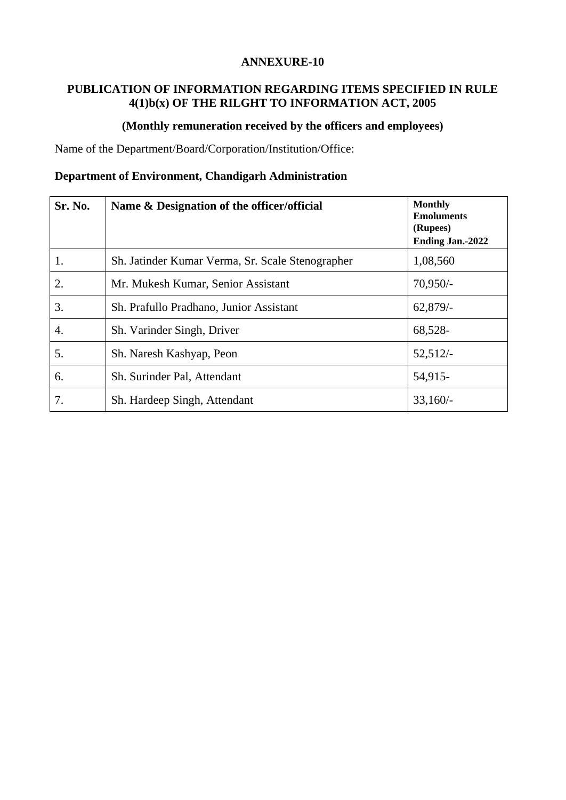### **PUBLICATION OF INFORMATION REGARDING ITEMS SPECIFIED IN RULE 4(1)b(x) OF THE RILGHT TO INFORMATION ACT, 2005**

### **(Monthly remuneration received by the officers and employees)**

Name of the Department/Board/Corporation/Institution/Office:

| Sr. No. | Name & Designation of the officer/official       | <b>Monthly</b><br><b>Emoluments</b><br>(Rupees)<br><b>Ending Jan.-2022</b> |
|---------|--------------------------------------------------|----------------------------------------------------------------------------|
| 1.      | Sh. Jatinder Kumar Verma, Sr. Scale Stenographer | 1,08,560                                                                   |
| 2.      | Mr. Mukesh Kumar, Senior Assistant               | $70,950/-$                                                                 |
| 3.      | Sh. Prafullo Pradhano, Junior Assistant          | 62,879/                                                                    |
| 4.      | Sh. Varinder Singh, Driver                       | 68,528-                                                                    |
| 5.      | Sh. Naresh Kashyap, Peon                         | 52,512/                                                                    |
| 6.      | Sh. Surinder Pal, Attendant                      | 54,915-                                                                    |
| 7.      | Sh. Hardeep Singh, Attendant                     | $33,160/-$                                                                 |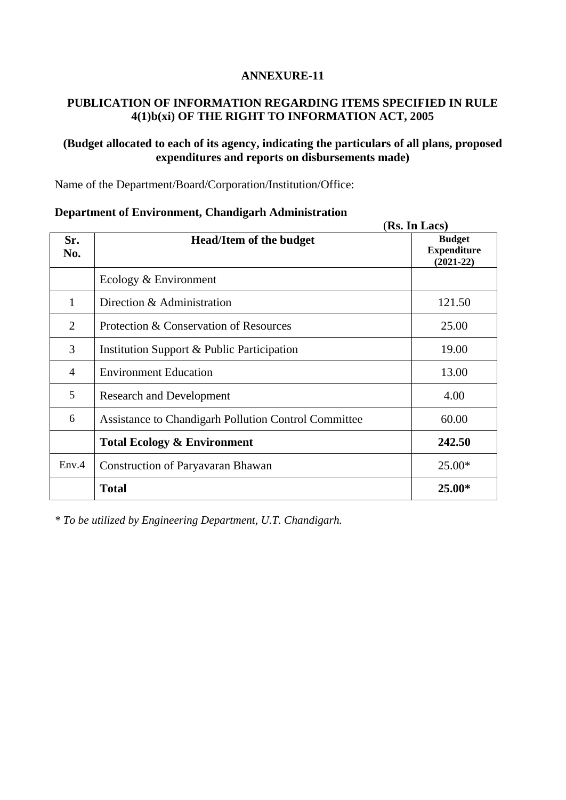### **PUBLICATION OF INFORMATION REGARDING ITEMS SPECIFIED IN RULE 4(1)b(xi) OF THE RIGHT TO INFORMATION ACT, 2005**

### **(Budget allocated to each of its agency, indicating the particulars of all plans, proposed expenditures and reports on disbursements made)**

Name of the Department/Board/Corporation/Institution/Office:

|                |                                                      | (Rs. In Lacs)                                      |  |
|----------------|------------------------------------------------------|----------------------------------------------------|--|
| Sr.<br>No.     | <b>Head/Item of the budget</b>                       | <b>Budget</b><br><b>Expenditure</b><br>$(2021-22)$ |  |
|                | Ecology & Environment                                |                                                    |  |
| 1              | Direction & Administration                           | 121.50                                             |  |
| 2              | Protection & Conservation of Resources               | 25.00                                              |  |
| 3              | Institution Support & Public Participation           | 19.00                                              |  |
| $\overline{4}$ | <b>Environment Education</b>                         | 13.00                                              |  |
| 5              | <b>Research and Development</b>                      | 4.00                                               |  |
| 6              | Assistance to Chandigarh Pollution Control Committee | 60.00                                              |  |
|                | <b>Total Ecology &amp; Environment</b>               | 242.50                                             |  |
| Env.4          | <b>Construction of Paryavaran Bhawan</b>             | $25.00*$                                           |  |
|                | <b>Total</b>                                         | $25.00*$                                           |  |

### **Department of Environment, Chandigarh Administration**

*\* To be utilized by Engineering Department, U.T. Chandigarh.*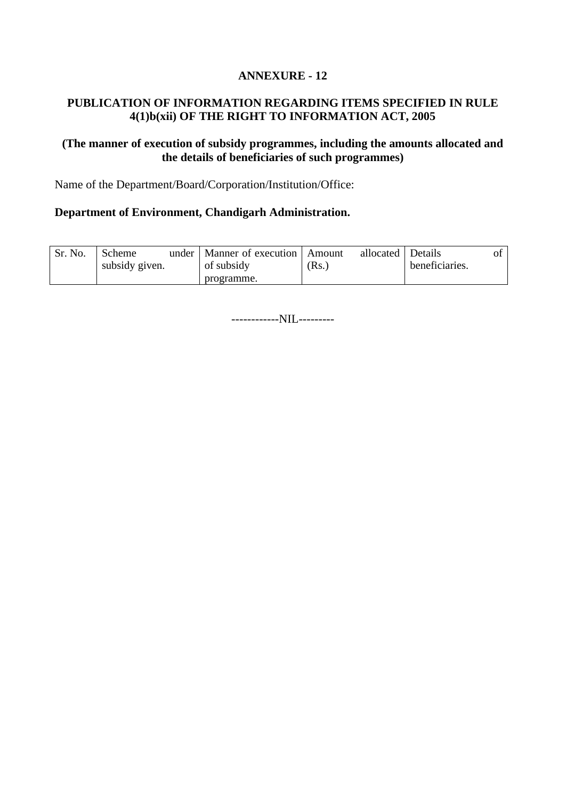### **PUBLICATION OF INFORMATION REGARDING ITEMS SPECIFIED IN RULE 4(1)b(xii) OF THE RIGHT TO INFORMATION ACT, 2005**

### **(The manner of execution of subsidy programmes, including the amounts allocated and the details of beneficiaries of such programmes)**

Name of the Department/Board/Corporation/Institution/Office:

#### **Department of Environment, Chandigarh Administration.**

| Sr. No. | Scheme         | under | Manner of execution   Amount |       | allocated   Details |                |  |
|---------|----------------|-------|------------------------------|-------|---------------------|----------------|--|
|         | subsidy given. |       | of subsidy                   | (Rs.) |                     | beneficiaries. |  |
|         |                |       | programme.                   |       |                     |                |  |

------------NIL---------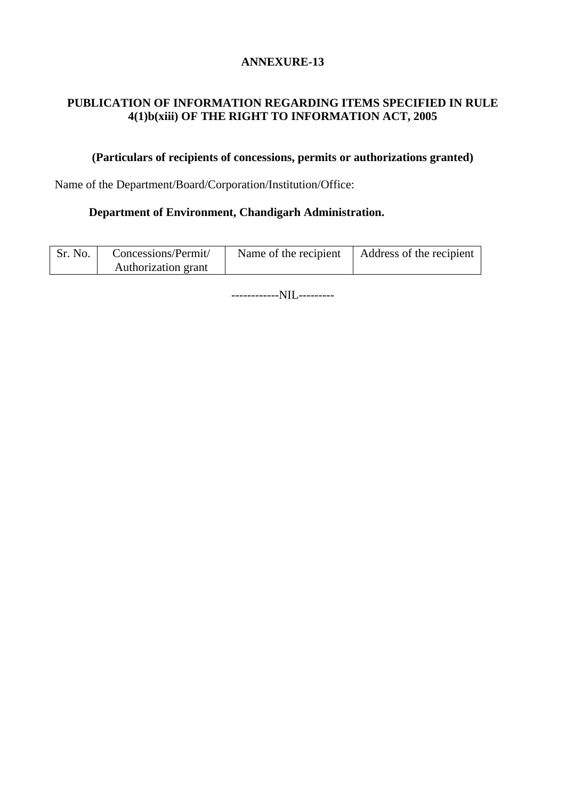### **PUBLICATION OF INFORMATION REGARDING ITEMS SPECIFIED IN RULE 4(1)b(xiii) OF THE RIGHT TO INFORMATION ACT, 2005**

### **(Particulars of recipients of concessions, permits or authorizations granted)**

Name of the Department/Board/Corporation/Institution/Office:

### **Department of Environment, Chandigarh Administration.**

| Sr. No. | Concessions/Permit/ | Name of the recipient | Address of the recipient |  |
|---------|---------------------|-----------------------|--------------------------|--|
|         | Authorization grant |                       |                          |  |

------------NIL---------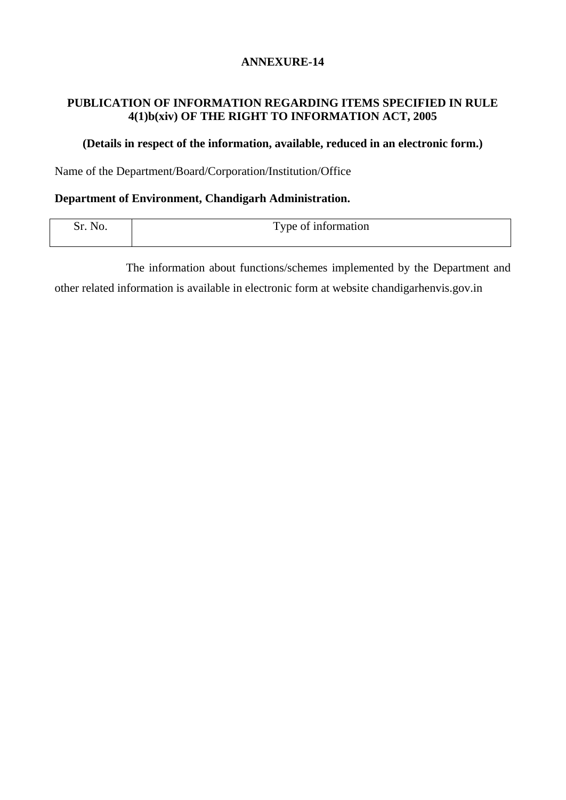### **PUBLICATION OF INFORMATION REGARDING ITEMS SPECIFIED IN RULE 4(1)b(xiv) OF THE RIGHT TO INFORMATION ACT, 2005**

### **(Details in respect of the information, available, reduced in an electronic form.)**

Name of the Department/Board/Corporation/Institution/Office

#### **Department of Environment, Chandigarh Administration.**

| ی.<br>. It.<br>v. | $\mathbf{r}$<br>l'ype of information<br><b>.</b><br>---- --------- -- |
|-------------------|-----------------------------------------------------------------------|
|                   |                                                                       |

The information about functions/schemes implemented by the Department and other related information is available in electronic form at website chandigarhenvis.gov.in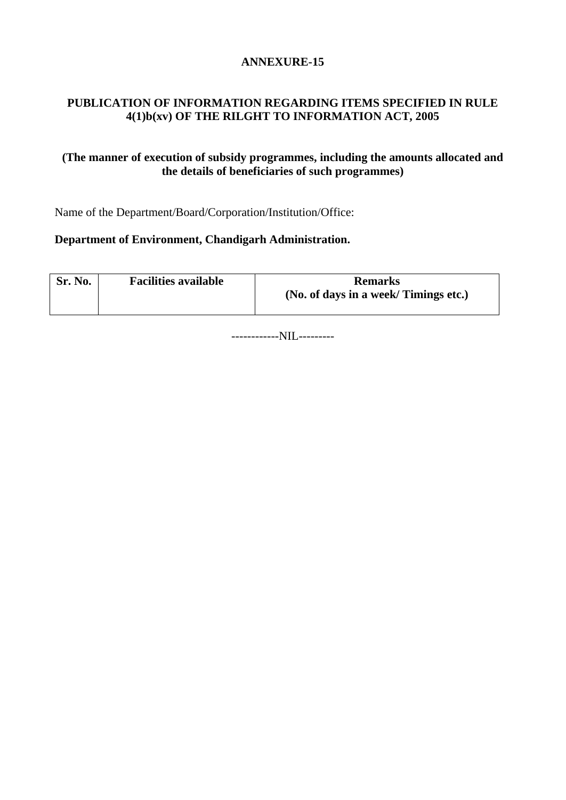### **PUBLICATION OF INFORMATION REGARDING ITEMS SPECIFIED IN RULE 4(1)b(xv) OF THE RILGHT TO INFORMATION ACT, 2005**

### **(The manner of execution of subsidy programmes, including the amounts allocated and the details of beneficiaries of such programmes)**

Name of the Department/Board/Corporation/Institution/Office:

### **Department of Environment, Chandigarh Administration.**

| Sr. No. | <b>Facilities available</b> | <b>Remarks</b>                       |
|---------|-----------------------------|--------------------------------------|
|         |                             | (No. of days in a week/Timings etc.) |

------------NIL---------